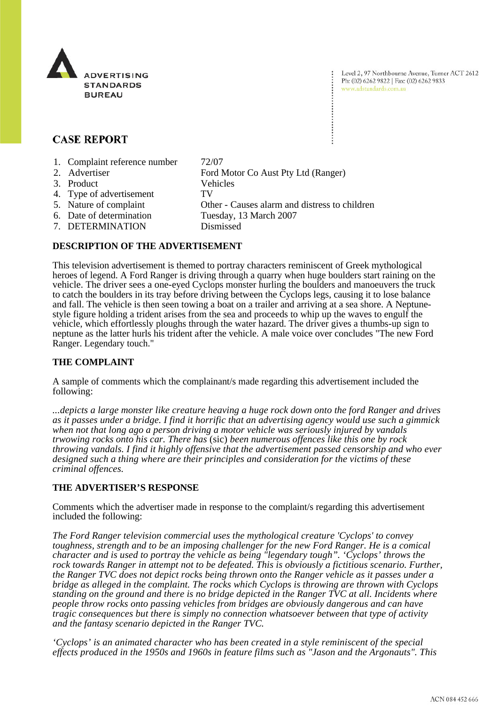

Level 2, 97 Northbourne Avenue, Turner ACT 2612 Ph: (02) 6262 9822 | Fax: (02) 6262 9833 www.adstandards.com.au

# **CASE REPORT**

- 1. Complaint reference number 72/07
- 2. Advertiser Ford Motor Co Aust Pty Ltd (Ranger) 3. Product Vehicles 4. Type of advertisement TV 5. Nature of complaint Other - Causes alarm and distress to children 6. Date of determination Tuesday, 13 March 2007 7. DETERMINATION Dismissed

### **DESCRIPTION OF THE ADVERTISEMENT**

This television advertisement is themed to portray characters reminiscent of Greek mythological heroes of legend. A Ford Ranger is driving through a quarry when huge boulders start raining on the vehicle. The driver sees a one-eyed Cyclops monster hurling the boulders and manoeuvers the truck to catch the boulders in its tray before driving between the Cyclops legs, causing it to lose balance and fall. The vehicle is then seen towing a boat on a trailer and arriving at a sea shore. A Neptunestyle figure holding a trident arises from the sea and proceeds to whip up the waves to engulf the vehicle, which effortlessly ploughs through the water hazard. The driver gives a thumbs-up sign to neptune as the latter hurls his trident after the vehicle. A male voice over concludes "The new Ford Ranger. Legendary touch."

## **THE COMPLAINT**

A sample of comments which the complainant/s made regarding this advertisement included the following:

*...depicts a large monster like creature heaving a huge rock down onto the ford Ranger and drives as it passes under a bridge. I find it horrific that an advertising agency would use such a gimmick when not that long ago a person driving a motor vehicle was seriously injured by vandals trwowing rocks onto his car. There has* (sic) *been numerous offences like this one by rock throwing vandals. I find it highly offensive that the advertisement passed censorship and who ever designed such a thing where are their principles and consideration for the victims of these criminal offences.*

## **THE ADVERTISER'S RESPONSE**

Comments which the advertiser made in response to the complaint/s regarding this advertisement included the following:

*The Ford Ranger television commercial uses the mythological creature 'Cyclops' to convey toughness, strength and to be an imposing challenger for the new Ford Ranger. He is a comical character and is used to portray the vehicle as being "legendary tough". 'Cyclops' throws the rock towards Ranger in attempt not to be defeated. This is obviously a fictitious scenario. Further, the Ranger TVC does not depict rocks being thrown onto the Ranger vehicle as it passes under a bridge as alleged in the complaint. The rocks which Cyclops is throwing are thrown with Cyclops standing on the ground and there is no bridge depicted in the Ranger TVC at all. Incidents where people throw rocks onto passing vehicles from bridges are obviously dangerous and can have tragic consequences but there is simply no connection whatsoever between that type of activity and the fantasy scenario depicted in the Ranger TVC.* 

*'Cyclops' is an animated character who has been created in a style reminiscent of the special effects produced in the 1950s and 1960s in feature films such as "Jason and the Argonauts". This*